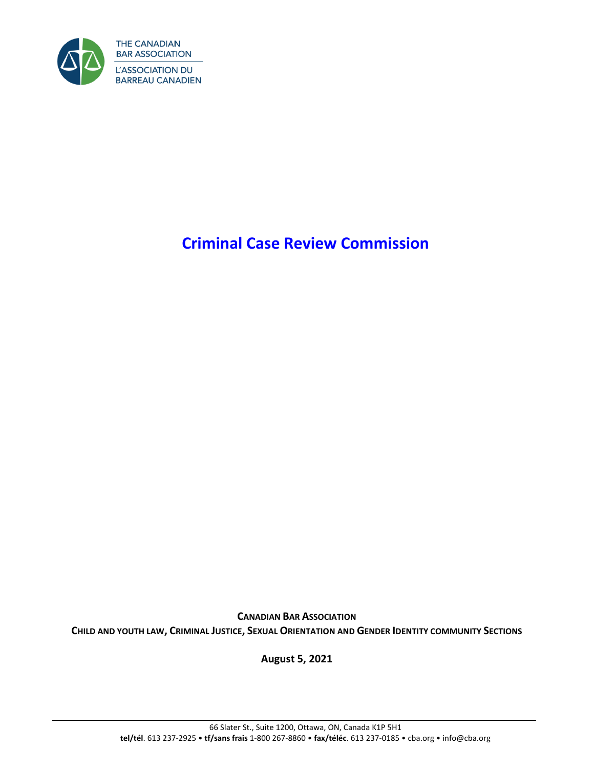

# **Criminal Case Review Commission**

**CANADIAN BAR ASSOCIATION CHILD AND YOUTH LAW, CRIMINAL JUSTICE, SEXUAL ORIENTATION AND GENDER IDENTITY COMMUNITY SECTIONS**

**August 5, 2021**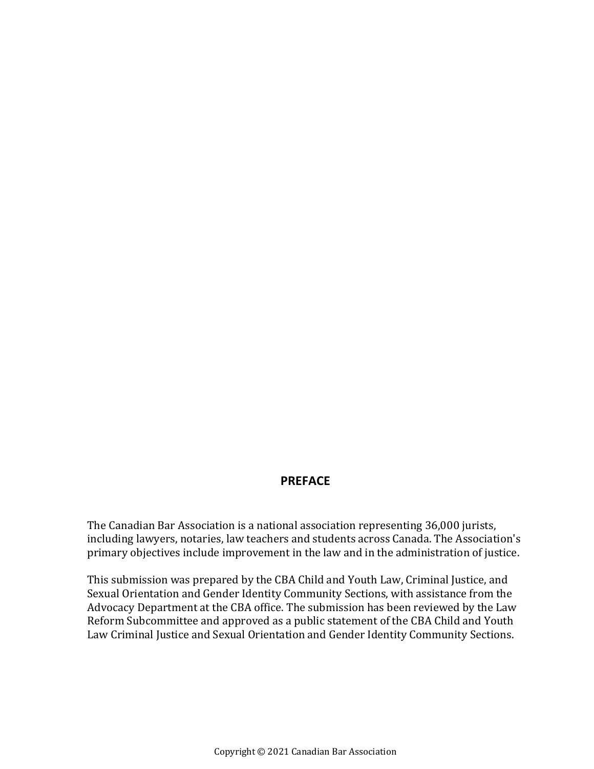## **PREFACE**

The Canadian Bar Association is a national association representing 36,000 jurists, including lawyers, notaries, law teachers and students across Canada. The Association's primary objectives include improvement in the law and in the administration of justice.

This submission was prepared by the CBA Child and Youth Law, Criminal Justice, and Sexual Orientation and Gender Identity Community Sections, with assistance from the Advocacy Department at the CBA office. The submission has been reviewed by the Law Reform Subcommittee and approved as a public statement of the CBA Child and Youth Law Criminal Justice and Sexual Orientation and Gender Identity Community Sections.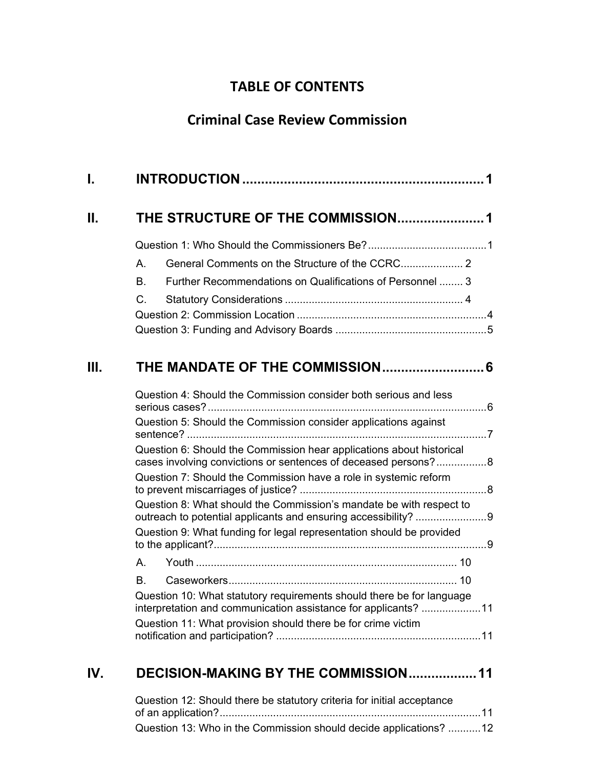# **TABLE OF CONTENTS**

# **Criminal Case Review Commission**

| I.  |                                                                                                                                         |  |
|-----|-----------------------------------------------------------------------------------------------------------------------------------------|--|
| Н.  | THE STRUCTURE OF THE COMMISSION1                                                                                                        |  |
|     |                                                                                                                                         |  |
|     | А.                                                                                                                                      |  |
|     | Further Recommendations on Qualifications of Personnel  3<br>В.                                                                         |  |
|     | C.                                                                                                                                      |  |
|     |                                                                                                                                         |  |
|     |                                                                                                                                         |  |
| Ш.  |                                                                                                                                         |  |
|     |                                                                                                                                         |  |
|     | Question 4: Should the Commission consider both serious and less                                                                        |  |
|     | Question 5: Should the Commission consider applications against                                                                         |  |
|     | Question 6: Should the Commission hear applications about historical<br>cases involving convictions or sentences of deceased persons?8  |  |
|     | Question 7: Should the Commission have a role in systemic reform                                                                        |  |
|     | Question 8: What should the Commission's mandate be with respect to                                                                     |  |
|     | Question 9: What funding for legal representation should be provided                                                                    |  |
|     | А.                                                                                                                                      |  |
|     | B.                                                                                                                                      |  |
|     | Question 10: What statutory requirements should there be for language<br>interpretation and communication assistance for applicants? 11 |  |
|     | Question 11: What provision should there be for crime victim                                                                            |  |
| IV. | DECISION-MAKING BY THE COMMISSION 11                                                                                                    |  |

| Question 12: Should there be statutory criteria for initial acceptance |  |
|------------------------------------------------------------------------|--|
|                                                                        |  |
| Question 13: Who in the Commission should decide applications? 12      |  |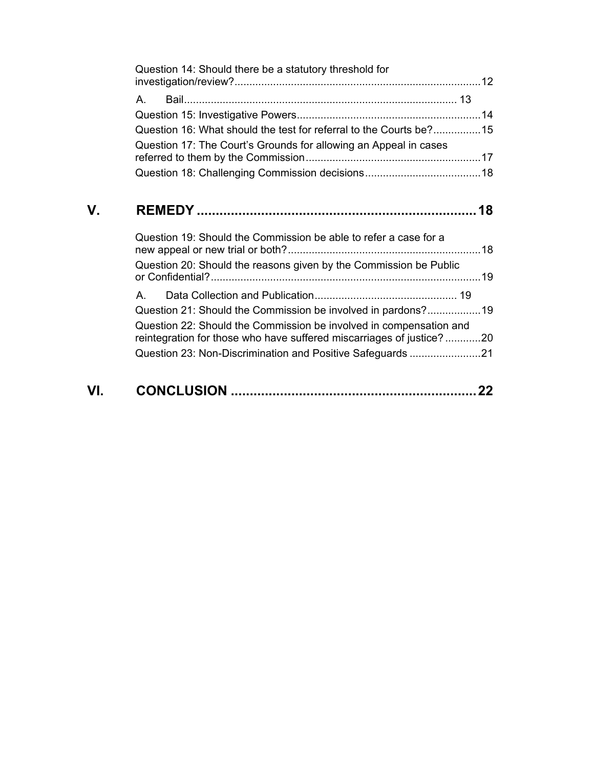|    | Question 14: Should there be a statutory threshold for                                                                                     |  |
|----|--------------------------------------------------------------------------------------------------------------------------------------------|--|
|    | A                                                                                                                                          |  |
|    |                                                                                                                                            |  |
|    | Question 16: What should the test for referral to the Courts be?15                                                                         |  |
|    | Question 17: The Court's Grounds for allowing an Appeal in cases                                                                           |  |
|    |                                                                                                                                            |  |
| V. |                                                                                                                                            |  |
|    | Question 19: Should the Commission be able to refer a case for a                                                                           |  |
|    | Question 20: Should the reasons given by the Commission be Public                                                                          |  |
|    | Α.                                                                                                                                         |  |
|    | Question 21: Should the Commission be involved in pardons?19                                                                               |  |
|    | Question 22: Should the Commission be involved in compensation and<br>reintegration for those who have suffered miscarriages of justice?20 |  |
|    | Question 23: Non-Discrimination and Positive Safeguards 21                                                                                 |  |
|    |                                                                                                                                            |  |

| VI. |  |  |
|-----|--|--|
|     |  |  |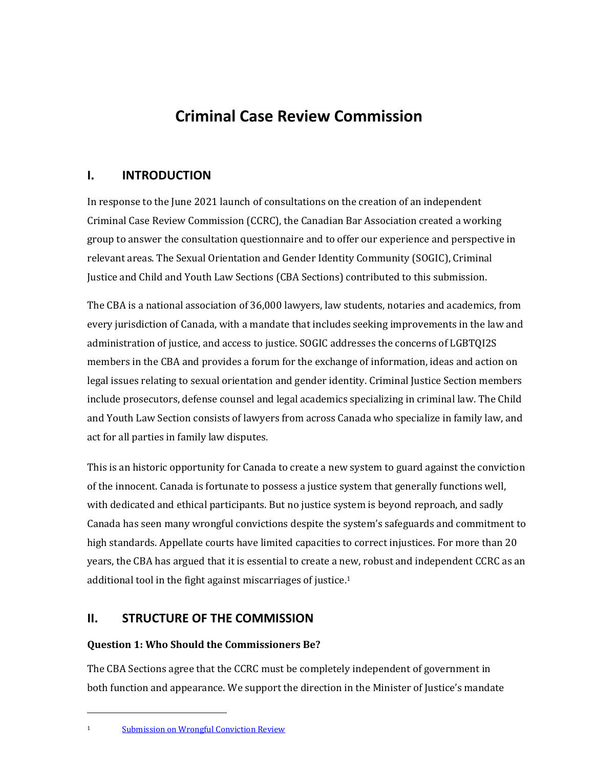# **Criminal Case Review Commission**

## <span id="page-4-0"></span>**I. INTRODUCTION**

In response to the June 2021 launch of consultations on the creation of an independent Criminal Case Review Commission (CCRC), the Canadian Bar Association created a working group to answer the consultation questionnaire and to offer our experience and perspective in relevant areas. The Sexual Orientation and Gender Identity Community (SOGIC), Criminal Justice and Child and Youth Law Sections (CBA Sections) contributed to this submission.

The CBA is a national association of 36,000 lawyers, law students, notaries and academics, from every jurisdiction of Canada, with a mandate that includes seeking improvements in the law and administration of justice, and access to justice. SOGIC addresses the concerns of LGBTQI2S members in the CBA and provides a forum for the exchange of information, ideas and action on legal issues relating to sexual orientation and gender identity. Criminal Justice Section members include prosecutors, defense counsel and legal academics specializing in criminal law. The Child and Youth Law Section consists of lawyers from across Canada who specialize in family law, and act for all parties in family law disputes.

This is an historic opportunity for Canada to create a new system to guard against the conviction of the innocent. Canada is fortunate to possess a justice system that generally functions well, with dedicated and ethical participants. But no justice system is beyond reproach, and sadly Canada has seen many wrongful convictions despite the system's safeguards and commitment to high standards. Appellate courts have limited capacities to correct injustices. For more than 20 years, the CBA has argued that it is essential to create a new, robust and independent CCRC as an additional tool in the fight against miscarriages of justice. 1

## <span id="page-4-1"></span>**II. STRUCTURE OF THE COMMISSION**

## <span id="page-4-2"></span>**Question 1: Who Should the Commissioners Be?**

The CBA Sections agree that the CCRC must be completely independent of government in both function and appearance. We support the direction in the Minister of Justice's mandate

<sup>1</sup> [Submission on Wrongful Conviction Review](https://www.cba.org/CMSPages/GetFile.aspx?guid=61111d2b-fe68-4373-9c6c-aa873ad2bf12)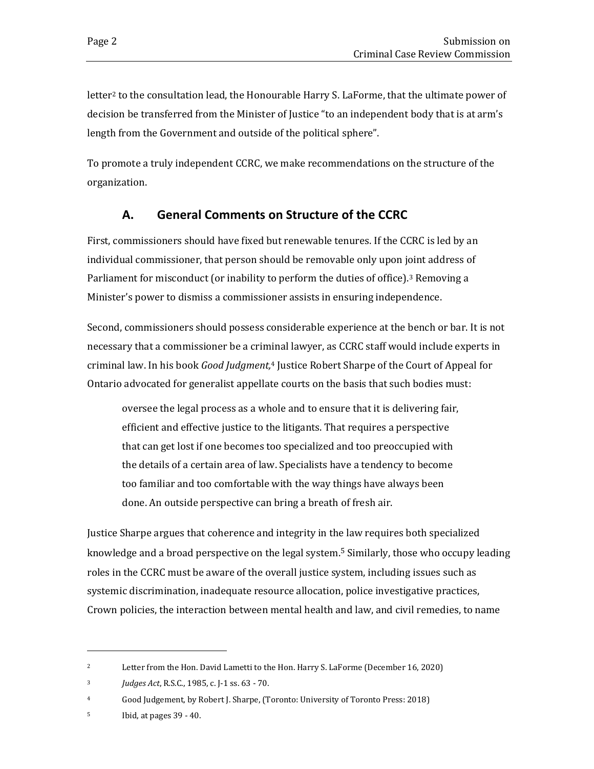letter<sup>2</sup> to the consultation lead, the Honourable Harry S. LaForme, that the ultimate power of decision be transferred from the Minister of Justice "to an independent body that is at arm's length from the Government and outside of the political sphere".

To promote a truly independent CCRC, we make recommendations on the structure of the organization.

## **A. General Comments on Structure of the CCRC**

<span id="page-5-0"></span>First, commissioners should have fixed but renewable tenures. If the CCRC is led by an individual commissioner, that person should be removable only upon joint address of Parliament for misconduct (or inability to perform the duties of office).<sup>3</sup> Removing a Minister's power to dismiss a commissioner assists in ensuring independence.

Second, commissioners should possess considerable experience at the bench or bar. It is not necessary that a commissioner be a criminal lawyer, as CCRC staff would include experts in criminal law. In his book *Good Judgment,*<sup>4</sup> Justice Robert Sharpe of the Court of Appeal for Ontario advocated for generalist appellate courts on the basis that such bodies must:

oversee the legal process as a whole and to ensure that it is delivering fair, efficient and effective justice to the litigants. That requires a perspective that can get lost if one becomes too specialized and too preoccupied with the details of a certain area of law. Specialists have a tendency to become too familiar and too comfortable with the way things have always been done. An outside perspective can bring a breath of fresh air.

Justice Sharpe argues that coherence and integrity in the law requires both specialized knowledge and a broad perspective on the legal system. <sup>5</sup> Similarly, those who occupy leading roles in the CCRC must be aware of the overall justice system, including issues such as systemic discrimination, inadequate resource allocation, police investigative practices, Crown policies, the interaction between mental health and law, and civil remedies, to name

<sup>&</sup>lt;sup>2</sup> Letter from the Hon. David Lametti to the Hon. Harry S. LaForme (December 16, 2020)

<sup>3</sup> *Judges Act*, R.S.C., 1985, c. J-1 ss. 63 - 70.

<sup>4</sup> Good Judgement, by Robert J. Sharpe, (Toronto: University of Toronto Press: 2018)

<sup>5</sup> Ibid, at pages 39 - 40.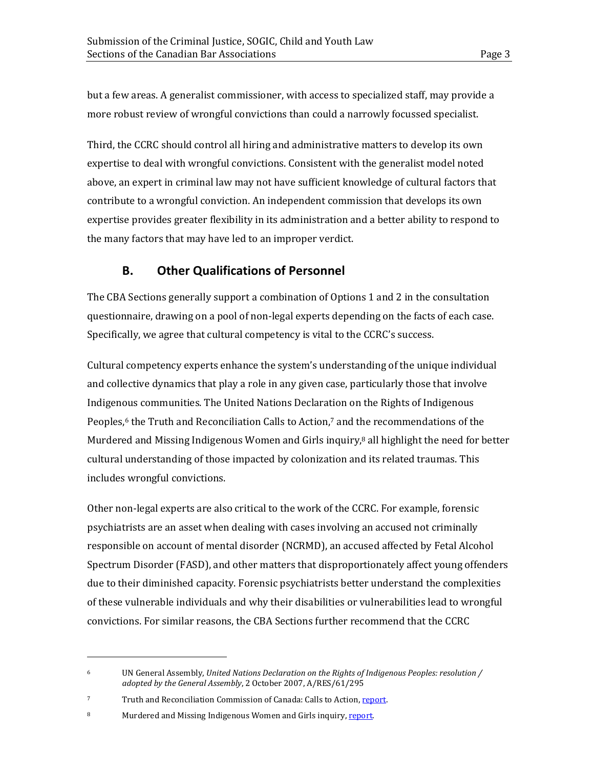but a few areas. A generalist commissioner, with access to specialized staff, may provide a more robust review of wrongful convictions than could a narrowly focussed specialist.

Third, the CCRC should control all hiring and administrative matters to develop its own expertise to deal with wrongful convictions. Consistent with the generalist model noted above, an expert in criminal law may not have sufficient knowledge of cultural factors that contribute to a wrongful conviction. An independent commission that develops its own expertise provides greater flexibility in its administration and a better ability to respond to the many factors that may have led to an improper verdict.

## **B. Other Qualifications of Personnel**

<span id="page-6-0"></span>The CBA Sections generally support a combination of Options 1 and 2 in the consultation questionnaire, drawing on a pool of non-legal experts depending on the facts of each case. Specifically, we agree that cultural competency is vital to the CCRC's success.

Cultural competency experts enhance the system's understanding of the unique individual and collective dynamics that play a role in any given case, particularly those that involve Indigenous communities. The United Nations Declaration on the Rights of Indigenous Peoples, <sup>6</sup> the Truth and Reconciliation Calls to Action, <sup>7</sup> and the recommendations of the Murdered and Missing Indigenous Women and Girls inquiry,<sup>8</sup> all highlight the need for better cultural understanding of those impacted by colonization and its related traumas. This includes wrongful convictions.

Other non-legal experts are also critical to the work of the CCRC. For example, forensic psychiatrists are an asset when dealing with cases involving an accused not criminally responsible on account of mental disorder (NCRMD), an accused affected by Fetal Alcohol Spectrum Disorder (FASD), and other matters that disproportionately affect young offenders due to their diminished capacity. Forensic psychiatrists better understand the complexities of these vulnerable individuals and why their disabilities or vulnerabilities lead to wrongful convictions. For similar reasons, the CBA Sections further recommend that the CCRC

<sup>6</sup> UN General Assembly, *United Nations Declaration on the Rights of Indigenous Peoples: resolution / adopted by the General Assembly*, 2 October 2007, A/RES/61/295

<sup>7</sup> Truth and Reconciliation Commission of Canada: Calls to Action[, report.](https://ehprnh2mwo3.exactdn.com/wp-content/uploads/2021/01/Calls_to_Action_English2.pdf)

<sup>8</sup> Murdered and Missing Indigenous Women and Girls inquiry[, report.](http://www.mmiwg-ffada.ca/final-report/)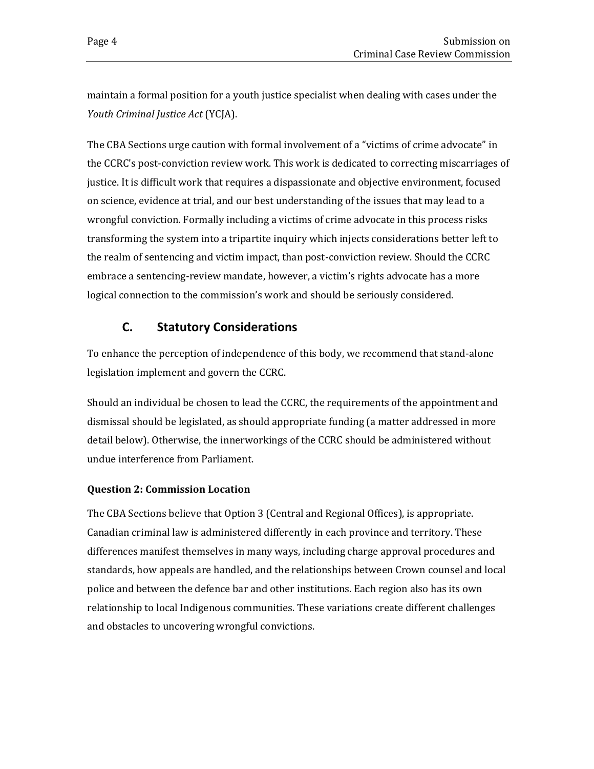maintain a formal position for a youth justice specialist when dealing with cases under the *Youth Criminal Justice Act* (YCJA).

The CBA Sections urge caution with formal involvement of a "victims of crime advocate" in the CCRC's post-conviction review work. This work is dedicated to correcting miscarriages of justice. It is difficult work that requires a dispassionate and objective environment, focused on science, evidence at trial, and our best understanding of the issues that may lead to a wrongful conviction. Formally including a victims of crime advocate in this process risks transforming the system into a tripartite inquiry which injects considerations better left to the realm of sentencing and victim impact, than post-conviction review. Should the CCRC embrace a sentencing-review mandate, however, a victim's rights advocate has a more logical connection to the commission's work and should be seriously considered.

## **C. Statutory Considerations**

<span id="page-7-0"></span>To enhance the perception of independence of this body, we recommend that stand-alone legislation implement and govern the CCRC.

Should an individual be chosen to lead the CCRC, the requirements of the appointment and dismissal should be legislated, as should appropriate funding (a matter addressed in more detail below). Otherwise, the innerworkings of the CCRC should be administered without undue interference from Parliament.

## <span id="page-7-1"></span>**Question 2: Commission Location**

The CBA Sections believe that Option 3 (Central and Regional Offices), is appropriate. Canadian criminal law is administered differently in each province and territory. These differences manifest themselves in many ways, including charge approval procedures and standards, how appeals are handled, and the relationships between Crown counsel and local police and between the defence bar and other institutions. Each region also has its own relationship to local Indigenous communities. These variations create different challenges and obstacles to uncovering wrongful convictions.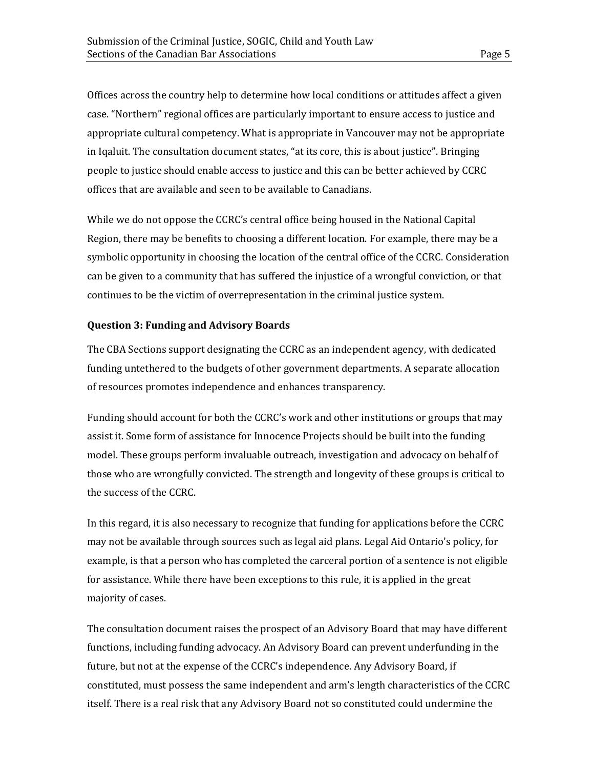Offices across the country help to determine how local conditions or attitudes affect a given case. "Northern" regional offices are particularly important to ensure access to justice and appropriate cultural competency. What is appropriate in Vancouver may not be appropriate in Iqaluit. The consultation document states, "at its core, this is about justice". Bringing people to justice should enable access to justice and this can be better achieved by CCRC offices that are available and seen to be available to Canadians.

While we do not oppose the CCRC's central office being housed in the National Capital Region, there may be benefits to choosing a different location. For example, there may be a symbolic opportunity in choosing the location of the central office of the CCRC. Consideration can be given to a community that has suffered the injustice of a wrongful conviction, or that continues to be the victim of overrepresentation in the criminal justice system.

#### <span id="page-8-0"></span>**Question 3: Funding and Advisory Boards**

The CBA Sections support designating the CCRC as an independent agency, with dedicated funding untethered to the budgets of other government departments. A separate allocation of resources promotes independence and enhances transparency.

Funding should account for both the CCRC's work and other institutions or groups that may assist it. Some form of assistance for Innocence Projects should be built into the funding model. These groups perform invaluable outreach, investigation and advocacy on behalf of those who are wrongfully convicted. The strength and longevity of these groups is critical to the success of the CCRC.

In this regard, it is also necessary to recognize that funding for applications before the CCRC may not be available through sources such as legal aid plans. Legal Aid Ontario's policy, for example, is that a person who has completed the carceral portion of a sentence is not eligible for assistance. While there have been exceptions to this rule, it is applied in the great majority of cases.

The consultation document raises the prospect of an Advisory Board that may have different functions, including funding advocacy. An Advisory Board can prevent underfunding in the future, but not at the expense of the CCRC's independence. Any Advisory Board, if constituted, must possess the same independent and arm's length characteristics of the CCRC itself. There is a real risk that any Advisory Board not so constituted could undermine the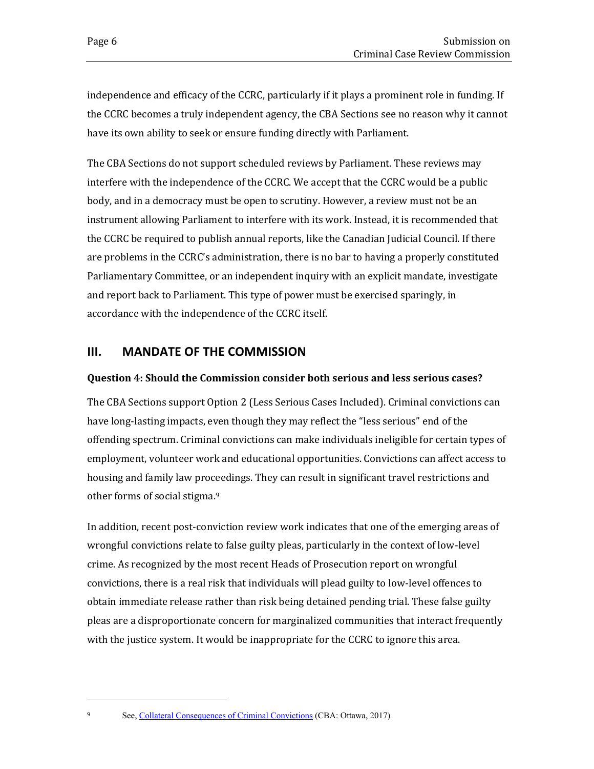independence and efficacy of the CCRC, particularly if it plays a prominent role in funding. If the CCRC becomes a truly independent agency, the CBA Sections see no reason why it cannot have its own ability to seek or ensure funding directly with Parliament.

The CBA Sections do not support scheduled reviews by Parliament. These reviews may interfere with the independence of the CCRC. We accept that the CCRC would be a public body, and in a democracy must be open to scrutiny. However, a review must not be an instrument allowing Parliament to interfere with its work. Instead, it is recommended that the CCRC be required to publish annual reports, like the Canadian Judicial Council. If there are problems in the CCRC's administration, there is no bar to having a properly constituted Parliamentary Committee, or an independent inquiry with an explicit mandate, investigate and report back to Parliament. This type of power must be exercised sparingly, in accordance with the independence of the CCRC itself.

## <span id="page-9-0"></span>**III. MANDATE OF THE COMMISSION**

#### <span id="page-9-1"></span>**Question 4: Should the Commission consider both serious and less serious cases?**

The CBA Sections support Option 2 (Less Serious Cases Included). Criminal convictions can have long-lasting impacts, even though they may reflect the "less serious" end of the offending spectrum. Criminal convictions can make individuals ineligible for certain types of employment, volunteer work and educational opportunities. Convictions can affect access to housing and family law proceedings. They can result in significant travel restrictions and other forms of social stigma.<sup>9</sup>

In addition, recent post-conviction review work indicates that one of the emerging areas of wrongful convictions relate to false guilty pleas, particularly in the context of low-level crime. As recognized by the most recent Heads of Prosecution report on wrongful convictions, there is a real risk that individuals will plead guilty to low-level offences to obtain immediate release rather than risk being detained pending trial. These false guilty pleas are a disproportionate concern for marginalized communities that interact frequently with the justice system. It would be inappropriate for the CCRC to ignore this area.

<sup>9</sup> See[, Collateral Consequences of Criminal Convictions](https://www.cba.org/CBAMediaLibrary/cba_na/PDFs/Sections/CollateralConsequencesWebAccessible.pdf) (CBA: Ottawa, 2017)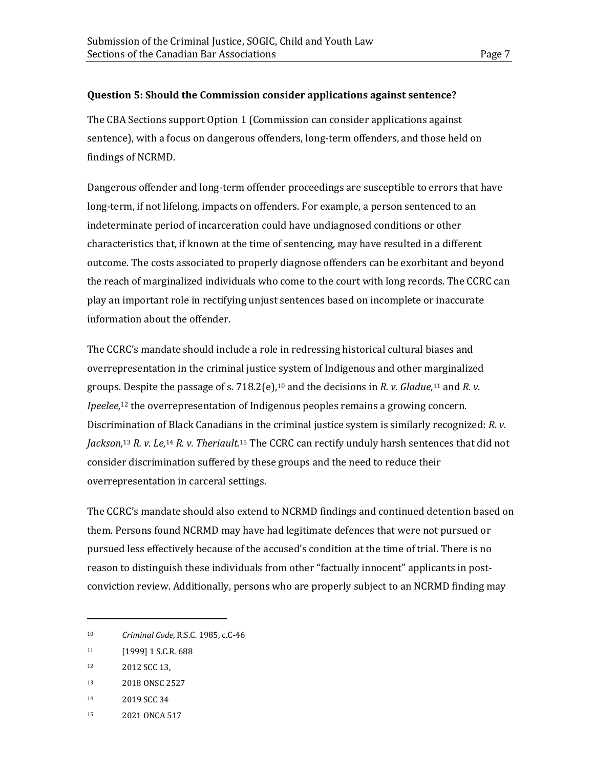#### <span id="page-10-0"></span>**Question 5: Should the Commission consider applications against sentence?**

The CBA Sections support Option 1 (Commission can consider applications against sentence), with a focus on dangerous offenders, long-term offenders, and those held on findings of NCRMD.

Dangerous offender and long-term offender proceedings are susceptible to errors that have long-term, if not lifelong, impacts on offenders. For example, a person sentenced to an indeterminate period of incarceration could have undiagnosed conditions or other characteristics that, if known at the time of sentencing, may have resulted in a different outcome. The costs associated to properly diagnose offenders can be exorbitant and beyond the reach of marginalized individuals who come to the court with long records. The CCRC can play an important role in rectifying unjust sentences based on incomplete or inaccurate information about the offender.

The CCRC's mandate should include a role in redressing historical cultural biases and overrepresentation in the criminal justice system of Indigenous and other marginalized groups. Despite the passage of s. 718.2(e), <sup>10</sup> and the decisions in *R. v. Gladue*, <sup>11</sup> and *R. v. Ipeelee,* <sup>12</sup> the overrepresentation of Indigenous peoples remains a growing concern. Discrimination of Black Canadians in the criminal justice system is similarly recognized: *R. v.*  Jackson,<sup>13</sup> R. v. Le,<sup>14</sup> R. v. Theriault.<sup>15</sup> The CCRC can rectify unduly harsh sentences that did not consider discrimination suffered by these groups and the need to reduce their overrepresentation in carceral settings.

The CCRC's mandate should also extend to NCRMD findings and continued detention based on them. Persons found NCRMD may have had legitimate defences that were not pursued or pursued less effectively because of the accused's condition at the time of trial. There is no reason to distinguish these individuals from other "factually innocent" applicants in postconviction review. Additionally, persons who are properly subject to an NCRMD finding may

<sup>10</sup> *Criminal Code*, R.S.C. 1985, c.C-46

<sup>11 [1999] 1</sup> S.C.R. 688

<sup>12</sup> 2012 SCC 13,

<sup>13</sup> 2018 ONSC 2527

<sup>14</sup> 2019 SCC 34

<sup>15</sup> 2021 ONCA 517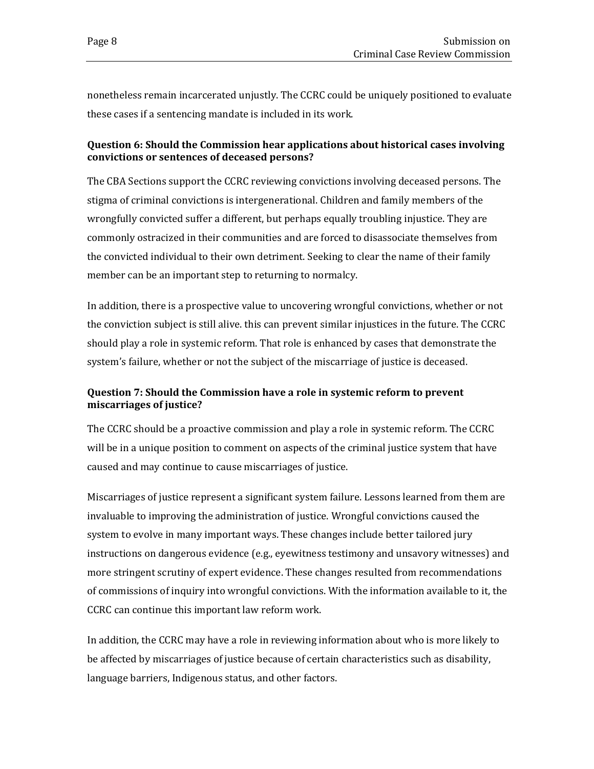nonetheless remain incarcerated unjustly. The CCRC could be uniquely positioned to evaluate these cases if a sentencing mandate is included in its work.

## <span id="page-11-0"></span>**Question 6: Should the Commission hear applications about historical cases involving convictions or sentences of deceased persons?**

The CBA Sections support the CCRC reviewing convictions involving deceased persons. The stigma of criminal convictions is intergenerational. Children and family members of the wrongfully convicted suffer a different, but perhaps equally troubling injustice. They are commonly ostracized in their communities and are forced to disassociate themselves from the convicted individual to their own detriment. Seeking to clear the name of their family member can be an important step to returning to normalcy.

In addition, there is a prospective value to uncovering wrongful convictions, whether or not the conviction subject is still alive. this can prevent similar injustices in the future. The CCRC should play a role in systemic reform. That role is enhanced by cases that demonstrate the system's failure, whether or not the subject of the miscarriage of justice is deceased.

## <span id="page-11-1"></span>**Question 7: Should the Commission have a role in systemic reform to prevent miscarriages of justice?**

The CCRC should be a proactive commission and play a role in systemic reform. The CCRC will be in a unique position to comment on aspects of the criminal justice system that have caused and may continue to cause miscarriages of justice.

Miscarriages of justice represent a significant system failure. Lessons learned from them are invaluable to improving the administration of justice. Wrongful convictions caused the system to evolve in many important ways. These changes include better tailored jury instructions on dangerous evidence (e.g., eyewitness testimony and unsavory witnesses) and more stringent scrutiny of expert evidence. These changes resulted from recommendations of commissions of inquiry into wrongful convictions. With the information available to it, the CCRC can continue this important law reform work.

In addition, the CCRC may have a role in reviewing information about who is more likely to be affected by miscarriages of justice because of certain characteristics such as disability, language barriers, Indigenous status, and other factors.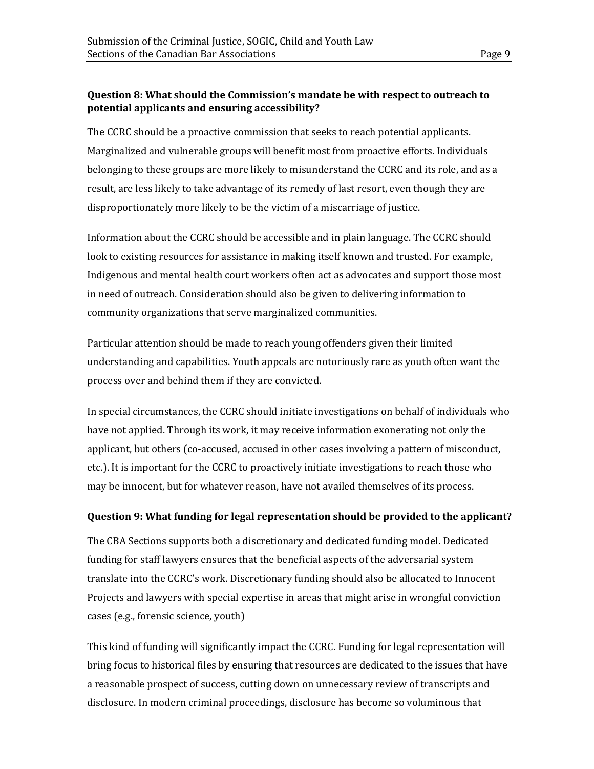#### <span id="page-12-0"></span>**Question 8: What should the Commission's mandate be with respect to outreach to potential applicants and ensuring accessibility?**

The CCRC should be a proactive commission that seeks to reach potential applicants. Marginalized and vulnerable groups will benefit most from proactive efforts. Individuals belonging to these groups are more likely to misunderstand the CCRC and its role, and as a result, are less likely to take advantage of its remedy of last resort, even though they are disproportionately more likely to be the victim of a miscarriage of justice.

Information about the CCRC should be accessible and in plain language. The CCRC should look to existing resources for assistance in making itself known and trusted. For example, Indigenous and mental health court workers often act as advocates and support those most in need of outreach. Consideration should also be given to delivering information to community organizations that serve marginalized communities.

Particular attention should be made to reach young offenders given their limited understanding and capabilities. Youth appeals are notoriously rare as youth often want the process over and behind them if they are convicted.

In special circumstances, the CCRC should initiate investigations on behalf of individuals who have not applied. Through its work, it may receive information exonerating not only the applicant, but others (co-accused, accused in other cases involving a pattern of misconduct, etc.). It is important for the CCRC to proactively initiate investigations to reach those who may be innocent, but for whatever reason, have not availed themselves of its process.

## <span id="page-12-1"></span>**Question 9: What funding for legal representation should be provided to the applicant?**

The CBA Sections supports both a discretionary and dedicated funding model. Dedicated funding for staff lawyers ensures that the beneficial aspects of the adversarial system translate into the CCRC's work. Discretionary funding should also be allocated to Innocent Projects and lawyers with special expertise in areas that might arise in wrongful conviction cases (e.g., forensic science, youth)

This kind of funding will significantly impact the CCRC. Funding for legal representation will bring focus to historical files by ensuring that resources are dedicated to the issues that have a reasonable prospect of success, cutting down on unnecessary review of transcripts and disclosure. In modern criminal proceedings, disclosure has become so voluminous that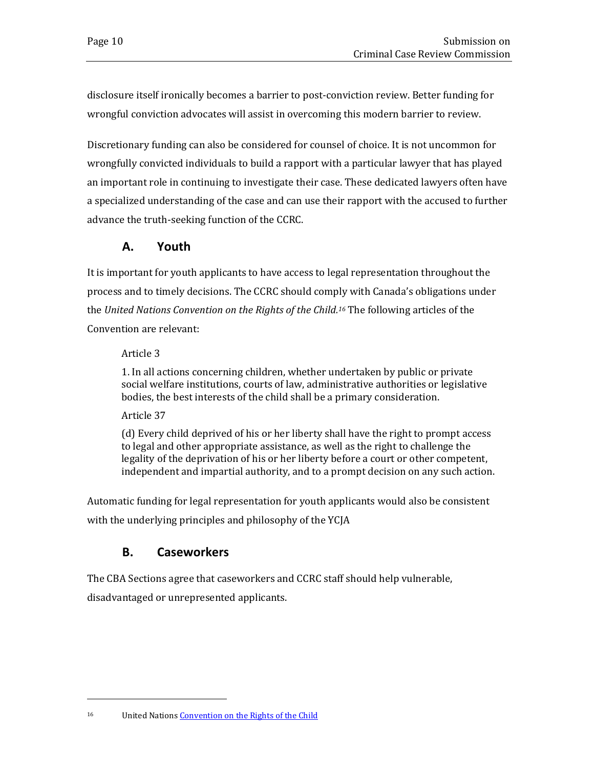disclosure itself ironically becomes a barrier to post-conviction review. Better funding for wrongful conviction advocates will assist in overcoming this modern barrier to review.

Discretionary funding can also be considered for counsel of choice. It is not uncommon for wrongfully convicted individuals to build a rapport with a particular lawyer that has played an important role in continuing to investigate their case. These dedicated lawyers often have a specialized understanding of the case and can use their rapport with the accused to further advance the truth-seeking function of the CCRC.

## **A. Youth**

<span id="page-13-0"></span>It is important for youth applicants to have access to legal representation throughout the process and to timely decisions. The CCRC should comply with Canada's obligations under the *United Nations Convention on the Rights of the Child. <sup>16</sup>* The following articles of the Convention are relevant:

## Article 3

1. In all actions concerning children, whether undertaken by public or private social welfare institutions, courts of law, administrative authorities or legislative bodies, the best interests of the child shall be a primary consideration.

## Article 37

(d) Every child deprived of his or her liberty shall have the right to prompt access to legal and other appropriate assistance, as well as the right to challenge the legality of the deprivation of his or her liberty before a court or other competent, independent and impartial authority, and to a prompt decision on any such action.

Automatic funding for legal representation for youth applicants would also be consistent with the underlying principles and philosophy of the YCJA

## **B. Caseworkers**

<span id="page-13-1"></span>The CBA Sections agree that caseworkers and CCRC staff should help vulnerable,

disadvantaged or unrepresented applicants.

<sup>16</sup> United Nation[s Convention on the Rights of the Child](https://www.ohchr.org/documents/professionalinterest/crc.pdf)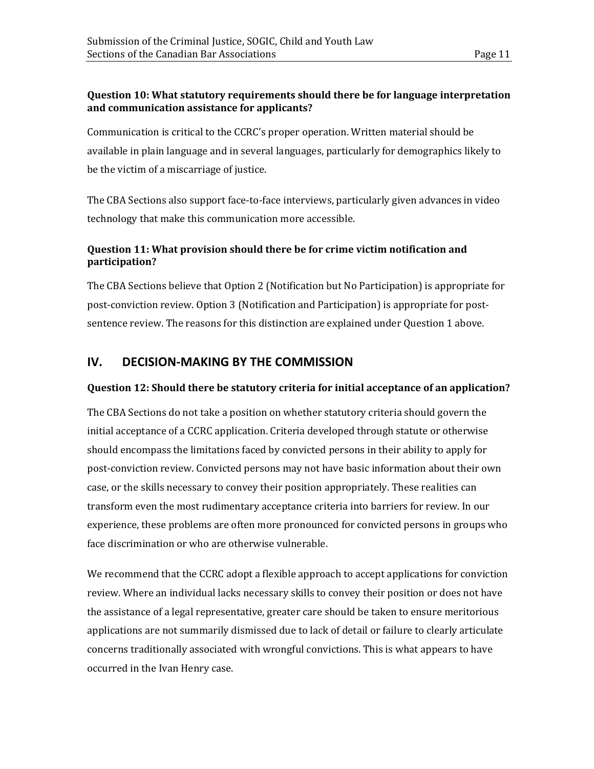## <span id="page-14-0"></span>**Question 10: What statutory requirements should there be for language interpretation and communication assistance for applicants?**

Communication is critical to the CCRC's proper operation. Written material should be available in plain language and in several languages, particularly for demographics likely to be the victim of a miscarriage of justice.

The CBA Sections also support face-to-face interviews, particularly given advances in video technology that make this communication more accessible.

## <span id="page-14-1"></span>**Question 11: What provision should there be for crime victim notification and participation?**

The CBA Sections believe that Option 2 (Notification but No Participation) is appropriate for post-conviction review. Option 3 (Notification and Participation) is appropriate for postsentence review. The reasons for this distinction are explained under Question 1 above.

## <span id="page-14-2"></span>**IV. DECISION-MAKING BY THE COMMISSION**

## <span id="page-14-3"></span>**Question 12: Should there be statutory criteria for initial acceptance of an application?**

The CBA Sections do not take a position on whether statutory criteria should govern the initial acceptance of a CCRC application. Criteria developed through statute or otherwise should encompass the limitations faced by convicted persons in their ability to apply for post-conviction review. Convicted persons may not have basic information about their own case, or the skills necessary to convey their position appropriately. These realities can transform even the most rudimentary acceptance criteria into barriers for review. In our experience, these problems are often more pronounced for convicted persons in groups who face discrimination or who are otherwise vulnerable.

We recommend that the CCRC adopt a flexible approach to accept applications for conviction review. Where an individual lacks necessary skills to convey their position or does not have the assistance of a legal representative, greater care should be taken to ensure meritorious applications are not summarily dismissed due to lack of detail or failure to clearly articulate concerns traditionally associated with wrongful convictions. This is what appears to have occurred in the Ivan Henry case.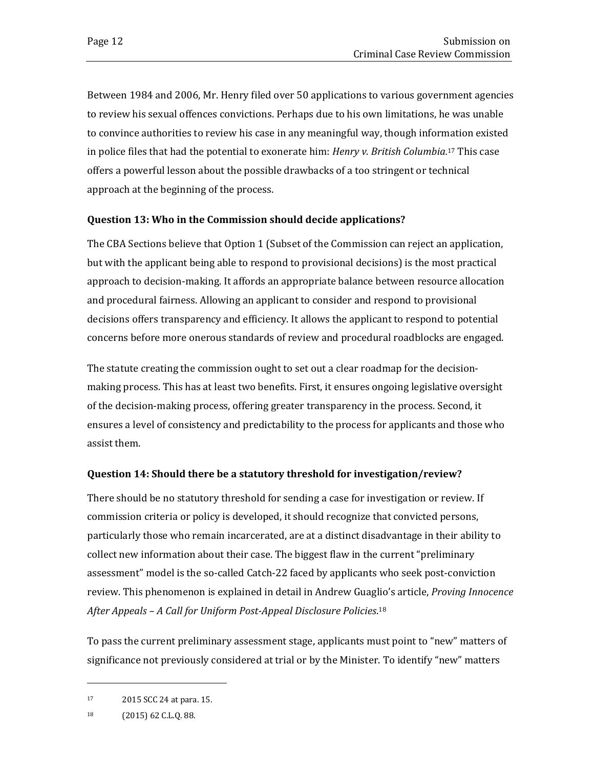Between 1984 and 2006, Mr. Henry filed over 50 applications to various government agencies to review his sexual offences convictions. Perhaps due to his own limitations, he was unable to convince authorities to review his case in any meaningful way, though information existed in police files that had the potential to exonerate him: *Henry v. British Columbia.* <sup>17</sup> This case offers a powerful lesson about the possible drawbacks of a too stringent or technical approach at the beginning of the process.

#### <span id="page-15-0"></span>**Question 13: Who in the Commission should decide applications?**

The CBA Sections believe that Option 1 (Subset of the Commission can reject an application, but with the applicant being able to respond to provisional decisions) is the most practical approach to decision-making. It affords an appropriate balance between resource allocation and procedural fairness. Allowing an applicant to consider and respond to provisional decisions offers transparency and efficiency. It allows the applicant to respond to potential concerns before more onerous standards of review and procedural roadblocks are engaged.

The statute creating the commission ought to set out a clear roadmap for the decisionmaking process. This has at least two benefits. First, it ensures ongoing legislative oversight of the decision-making process, offering greater transparency in the process. Second, it ensures a level of consistency and predictability to the process for applicants and those who assist them.

#### <span id="page-15-1"></span>**Question 14: Should there be a statutory threshold for investigation/review?**

There should be no statutory threshold for sending a case for investigation or review. If commission criteria or policy is developed, it should recognize that convicted persons, particularly those who remain incarcerated, are at a distinct disadvantage in their ability to collect new information about their case. The biggest flaw in the current "preliminary assessment" model is the so-called Catch-22 faced by applicants who seek post-conviction review. This phenomenon is explained in detail in Andrew Guaglio's article, *Proving Innocence After Appeals – A Call for Uniform Post-Appeal Disclosure Policies*. 18

To pass the current preliminary assessment stage, applicants must point to "new" matters of significance not previously considered at trial or by the Minister. To identify "new" matters

<sup>17</sup> 2015 SCC 24 at para. 15.

<sup>18</sup> (2015) 62 C.L.Q. 88.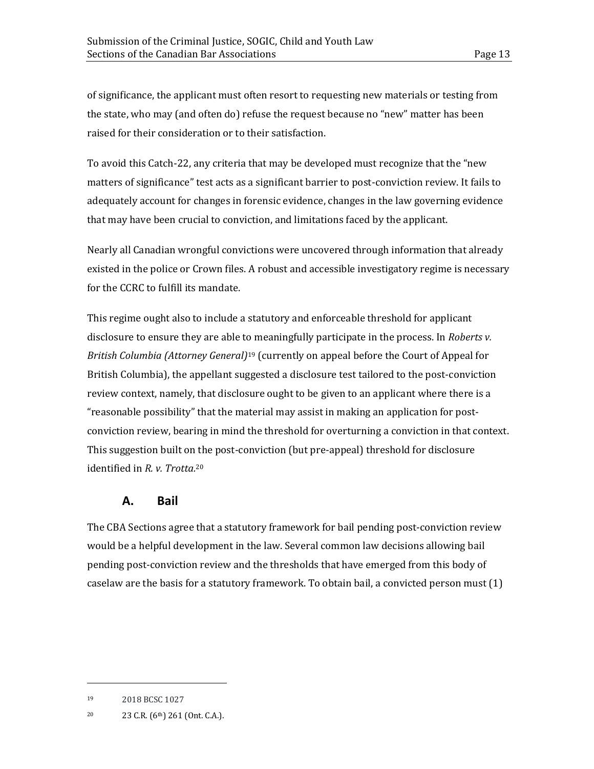of significance, the applicant must often resort to requesting new materials or testing from the state, who may (and often do) refuse the request because no "new" matter has been raised for their consideration or to their satisfaction.

To avoid this Catch-22, any criteria that may be developed must recognize that the "new matters of significance" test acts as a significant barrier to post-conviction review. It fails to adequately account for changes in forensic evidence, changes in the law governing evidence that may have been crucial to conviction, and limitations faced by the applicant.

Nearly all Canadian wrongful convictions were uncovered through information that already existed in the police or Crown files. A robust and accessible investigatory regime is necessary for the CCRC to fulfill its mandate.

This regime ought also to include a statutory and enforceable threshold for applicant disclosure to ensure they are able to meaningfully participate in the process. In *Roberts v. British Columbia (Attorney General)*<sup>19</sup> (currently on appeal before the Court of Appeal for British Columbia), the appellant suggested a disclosure test tailored to the post-conviction review context, namely, that disclosure ought to be given to an applicant where there is a "reasonable possibility" that the material may assist in making an application for postconviction review, bearing in mind the threshold for overturning a conviction in that context. This suggestion built on the post-conviction (but pre-appeal) threshold for disclosure identified in *R. v. Trotta.* 20

## **A. Bail**

<span id="page-16-0"></span>The CBA Sections agree that a statutory framework for bail pending post-conviction review would be a helpful development in the law. Several common law decisions allowing bail pending post-conviction review and the thresholds that have emerged from this body of caselaw are the basis for a statutory framework. To obtain bail, a convicted person must (1)

<sup>19</sup> 2018 BCSC 1027

<sup>20</sup> 23 C.R. (6th) 261 (Ont. C.A.).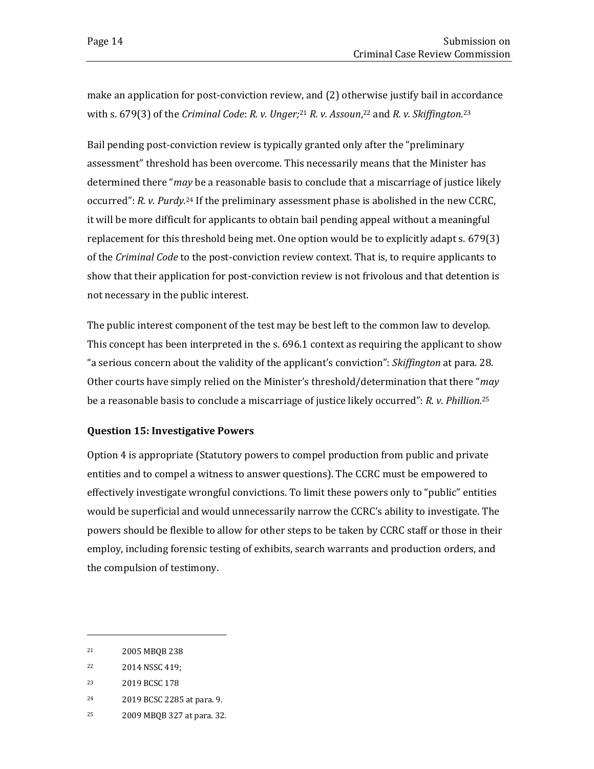make an application for post-conviction review, and (2) otherwise justify bail in accordance with s. 679(3) of the *Criminal Code*: *R. v. Unger;*<sup>21</sup> *R. v. Assoun,*<sup>22</sup> and *R. v. Skiffington.*<sup>23</sup>

Bail pending post-conviction review is typically granted only after the "preliminary assessment" threshold has been overcome. This necessarily means that the Minister has determined there "*may* be a reasonable basis to conclude that a miscarriage of justice likely occurred": *R. v. Purdy.* <sup>24</sup> If the preliminary assessment phase is abolished in the new CCRC, it will be more difficult for applicants to obtain bail pending appeal without a meaningful replacement for this threshold being met. One option would be to explicitly adapt s. 679(3) of the *Criminal Code* to the post-conviction review context. That is, to require applicants to show that their application for post-conviction review is not frivolous and that detention is not necessary in the public interest.

The public interest component of the test may be best left to the common law to develop. This concept has been interpreted in the s. 696.1 context as requiring the applicant to show "a serious concern about the validity of the applicant's conviction": *Skiffington* at para. 28. Other courts have simply relied on the Minister's threshold/determination that there "*may*  be a reasonable basis to conclude a miscarriage of justice likely occurred": *R. v. Phillion.* 25

#### <span id="page-17-0"></span>**Question 15: Investigative Powers**

Option 4 is appropriate (Statutory powers to compel production from public and private entities and to compel a witness to answer questions). The CCRC must be empowered to effectively investigate wrongful convictions. To limit these powers only to "public" entities would be superficial and would unnecessarily narrow the CCRC's ability to investigate. The powers should be flexible to allow for other steps to be taken by CCRC staff or those in their employ, including forensic testing of exhibits, search warrants and production orders, and the compulsion of testimony.

- <sup>24</sup> 2019 BCSC 2285 at para. 9.
- <sup>25</sup> 2009 MBQB 327 at para. 32.

<sup>21</sup> 2005 MBQB 238

<sup>22</sup> 2014 NSSC 419;

<sup>23</sup> 2019 BCSC 178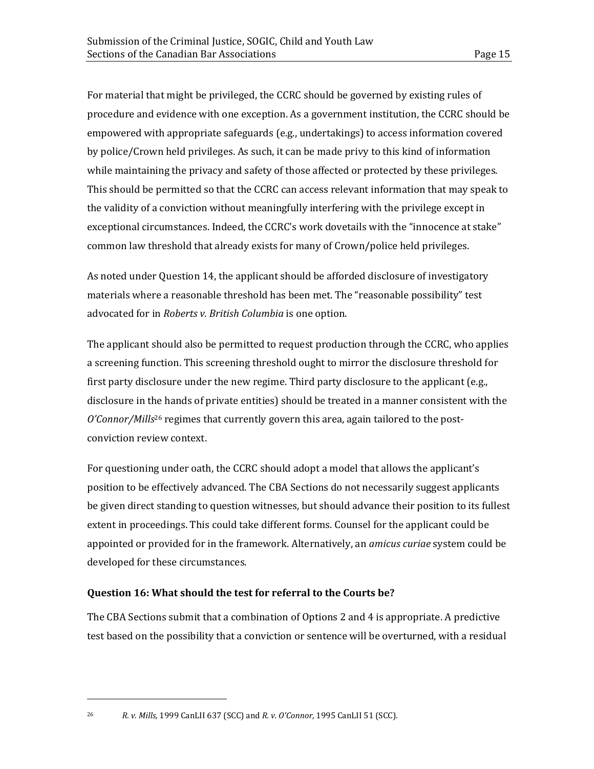For material that might be privileged, the CCRC should be governed by existing rules of procedure and evidence with one exception. As a government institution, the CCRC should be empowered with appropriate safeguards (e.g., undertakings) to access information covered by police/Crown held privileges. As such, it can be made privy to this kind of information while maintaining the privacy and safety of those affected or protected by these privileges. This should be permitted so that the CCRC can access relevant information that may speak to the validity of a conviction without meaningfully interfering with the privilege except in exceptional circumstances. Indeed, the CCRC's work dovetails with the "innocence at stake" common law threshold that already exists for many of Crown/police held privileges.

As noted under Question 14, the applicant should be afforded disclosure of investigatory materials where a reasonable threshold has been met. The "reasonable possibility" test advocated for in *Roberts v. British Columbia* is one option.

The applicant should also be permitted to request production through the CCRC, who applies a screening function. This screening threshold ought to mirror the disclosure threshold for first party disclosure under the new regime. Third party disclosure to the applicant (e.g., disclosure in the hands of private entities) should be treated in a manner consistent with the *O'Connor/Mills*<sup>26</sup> regimes that currently govern this area, again tailored to the postconviction review context.

For questioning under oath, the CCRC should adopt a model that allows the applicant's position to be effectively advanced. The CBA Sections do not necessarily suggest applicants be given direct standing to question witnesses, but should advance their position to its fullest extent in proceedings. This could take different forms. Counsel for the applicant could be appointed or provided for in the framework. Alternatively, an *amicus curiae* system could be developed for these circumstances.

## <span id="page-18-0"></span>**Question 16: What should the test for referral to the Courts be?**

The CBA Sections submit that a combination of Options 2 and 4 is appropriate. A predictive test based on the possibility that a conviction or sentence will be overturned, with a residual

<sup>26</sup> *R. v. Mills,* 1999 CanLII 637 (SCC) and *R. v. O'Connor*, 1995 CanLII 51 (SCC).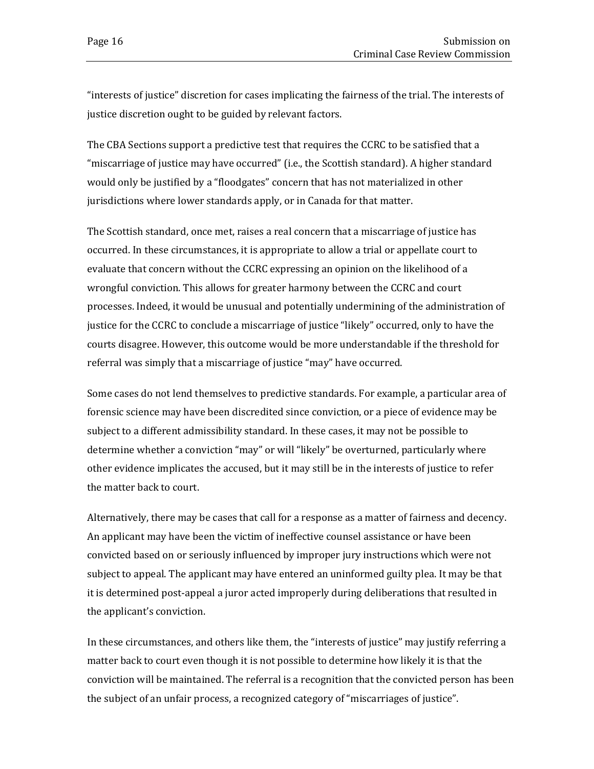"interests of justice" discretion for cases implicating the fairness of the trial. The interests of justice discretion ought to be guided by relevant factors.

The CBA Sections support a predictive test that requires the CCRC to be satisfied that a "miscarriage of justice may have occurred" (i.e., the Scottish standard). A higher standard would only be justified by a "floodgates" concern that has not materialized in other jurisdictions where lower standards apply, or in Canada for that matter.

The Scottish standard, once met, raises a real concern that a miscarriage of justice has occurred. In these circumstances, it is appropriate to allow a trial or appellate court to evaluate that concern without the CCRC expressing an opinion on the likelihood of a wrongful conviction. This allows for greater harmony between the CCRC and court processes. Indeed, it would be unusual and potentially undermining of the administration of justice for the CCRC to conclude a miscarriage of justice "likely" occurred, only to have the courts disagree. However, this outcome would be more understandable if the threshold for referral was simply that a miscarriage of justice "may" have occurred.

Some cases do not lend themselves to predictive standards. For example, a particular area of forensic science may have been discredited since conviction, or a piece of evidence may be subject to a different admissibility standard. In these cases, it may not be possible to determine whether a conviction "may" or will "likely" be overturned, particularly where other evidence implicates the accused, but it may still be in the interests of justice to refer the matter back to court.

Alternatively, there may be cases that call for a response as a matter of fairness and decency. An applicant may have been the victim of ineffective counsel assistance or have been convicted based on or seriously influenced by improper jury instructions which were not subject to appeal. The applicant may have entered an uninformed guilty plea. It may be that it is determined post-appeal a juror acted improperly during deliberations that resulted in the applicant's conviction.

In these circumstances, and others like them, the "interests of justice" may justify referring a matter back to court even though it is not possible to determine how likely it is that the conviction will be maintained. The referral is a recognition that the convicted person has been the subject of an unfair process, a recognized category of "miscarriages of justice".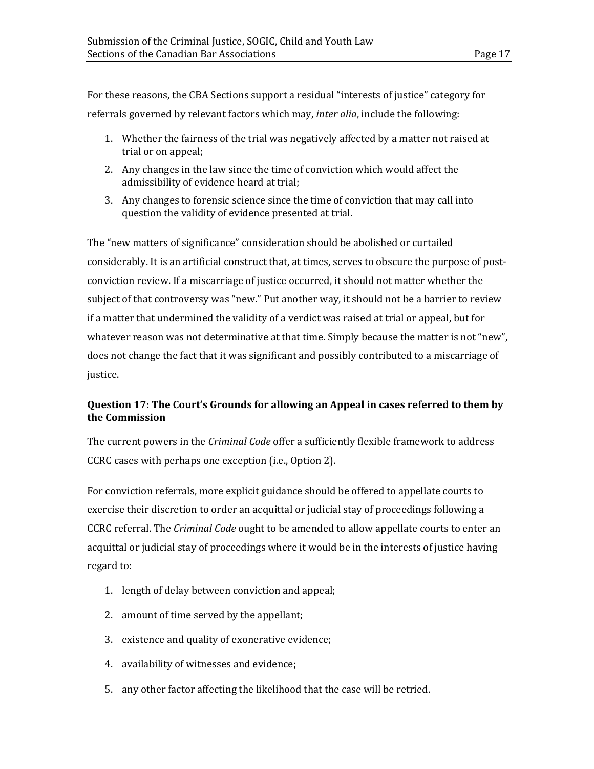For these reasons, the CBA Sections support a residual "interests of justice" category for referrals governed by relevant factors which may, *inter alia*, include the following:

- 1. Whether the fairness of the trial was negatively affected by a matter not raised at trial or on appeal;
- 2. Any changes in the law since the time of conviction which would affect the admissibility of evidence heard at trial;
- 3. Any changes to forensic science since the time of conviction that may call into question the validity of evidence presented at trial.

The "new matters of significance" consideration should be abolished or curtailed considerably. It is an artificial construct that, at times, serves to obscure the purpose of postconviction review. If a miscarriage of justice occurred, it should not matter whether the subject of that controversy was "new." Put another way, it should not be a barrier to review if a matter that undermined the validity of a verdict was raised at trial or appeal, but for whatever reason was not determinative at that time. Simply because the matter is not "new", does not change the fact that it was significant and possibly contributed to a miscarriage of justice.

## <span id="page-20-0"></span>**Question 17: The Court's Grounds for allowing an Appeal in cases referred to them by the Commission**

The current powers in the *Criminal Code* offer a sufficiently flexible framework to address CCRC cases with perhaps one exception (i.e., Option 2).

For conviction referrals, more explicit guidance should be offered to appellate courts to exercise their discretion to order an acquittal or judicial stay of proceedings following a CCRC referral. The *Criminal Code* ought to be amended to allow appellate courts to enter an acquittal or judicial stay of proceedings where it would be in the interests of justice having regard to:

- 1. length of delay between conviction and appeal;
- 2. amount of time served by the appellant;
- 3. existence and quality of exonerative evidence;
- 4. availability of witnesses and evidence;
- 5. any other factor affecting the likelihood that the case will be retried.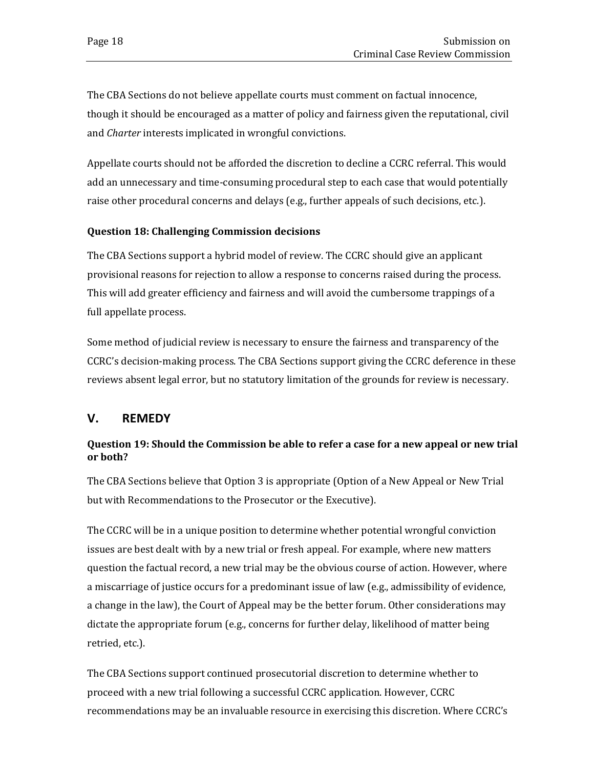The CBA Sections do not believe appellate courts must comment on factual innocence, though it should be encouraged as a matter of policy and fairness given the reputational, civil and *Charter* interests implicated in wrongful convictions.

Appellate courts should not be afforded the discretion to decline a CCRC referral. This would add an unnecessary and time-consuming procedural step to each case that would potentially raise other procedural concerns and delays (e.g., further appeals of such decisions, etc.).

## <span id="page-21-0"></span>**Question 18: Challenging Commission decisions**

The CBA Sections support a hybrid model of review. The CCRC should give an applicant provisional reasons for rejection to allow a response to concerns raised during the process. This will add greater efficiency and fairness and will avoid the cumbersome trappings of a full appellate process.

Some method of judicial review is necessary to ensure the fairness and transparency of the CCRC's decision-making process. The CBA Sections support giving the CCRC deference in these reviews absent legal error, but no statutory limitation of the grounds for review is necessary.

## <span id="page-21-1"></span>**V. REMEDY**

## <span id="page-21-2"></span>**Question 19: Should the Commission be able to refer a case for a new appeal or new trial or both?**

The CBA Sections believe that Option 3 is appropriate (Option of a New Appeal or New Trial but with Recommendations to the Prosecutor or the Executive).

The CCRC will be in a unique position to determine whether potential wrongful conviction issues are best dealt with by a new trial or fresh appeal. For example, where new matters question the factual record, a new trial may be the obvious course of action. However, where a miscarriage of justice occurs for a predominant issue of law (e.g., admissibility of evidence, a change in the law), the Court of Appeal may be the better forum. Other considerations may dictate the appropriate forum (e.g., concerns for further delay, likelihood of matter being retried, etc.).

The CBA Sections support continued prosecutorial discretion to determine whether to proceed with a new trial following a successful CCRC application. However, CCRC recommendations may be an invaluable resource in exercising this discretion. Where CCRC's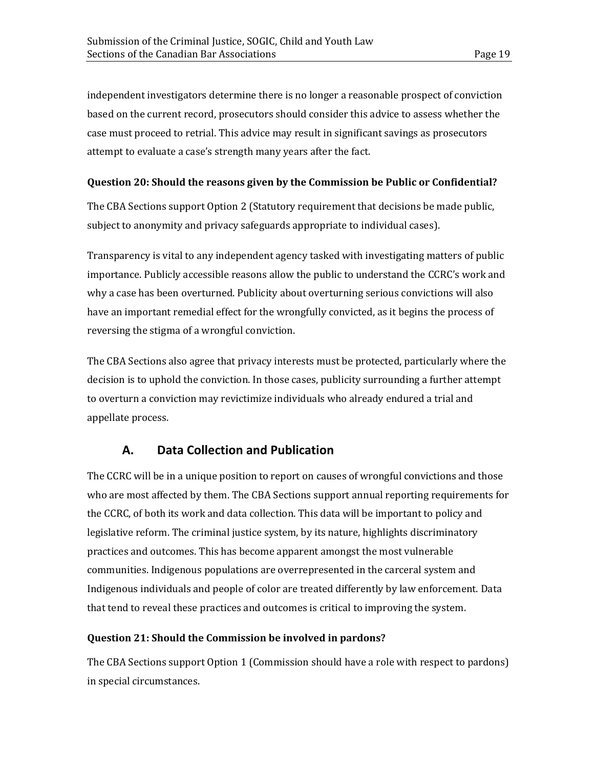independent investigators determine there is no longer a reasonable prospect of conviction based on the current record, prosecutors should consider this advice to assess whether the case must proceed to retrial. This advice may result in significant savings as prosecutors attempt to evaluate a case's strength many years after the fact.

## <span id="page-22-0"></span>**Question 20: Should the reasons given by the Commission be Public or Confidential?**

The CBA Sections support Option 2 (Statutory requirement that decisions be made public, subject to anonymity and privacy safeguards appropriate to individual cases).

Transparency is vital to any independent agency tasked with investigating matters of public importance. Publicly accessible reasons allow the public to understand the CCRC's work and why a case has been overturned. Publicity about overturning serious convictions will also have an important remedial effect for the wrongfully convicted, as it begins the process of reversing the stigma of a wrongful conviction.

The CBA Sections also agree that privacy interests must be protected, particularly where the decision is to uphold the conviction. In those cases, publicity surrounding a further attempt to overturn a conviction may revictimize individuals who already endured a trial and appellate process.

## **A. Data Collection and Publication**

<span id="page-22-1"></span>The CCRC will be in a unique position to report on causes of wrongful convictions and those who are most affected by them. The CBA Sections support annual reporting requirements for the CCRC, of both its work and data collection. This data will be important to policy and legislative reform. The criminal justice system, by its nature, highlights discriminatory practices and outcomes. This has become apparent amongst the most vulnerable communities. Indigenous populations are overrepresented in the carceral system and Indigenous individuals and people of color are treated differently by law enforcement. Data that tend to reveal these practices and outcomes is critical to improving the system.

## <span id="page-22-2"></span>**Question 21: Should the Commission be involved in pardons?**

The CBA Sections support Option 1 (Commission should have a role with respect to pardons) in special circumstances.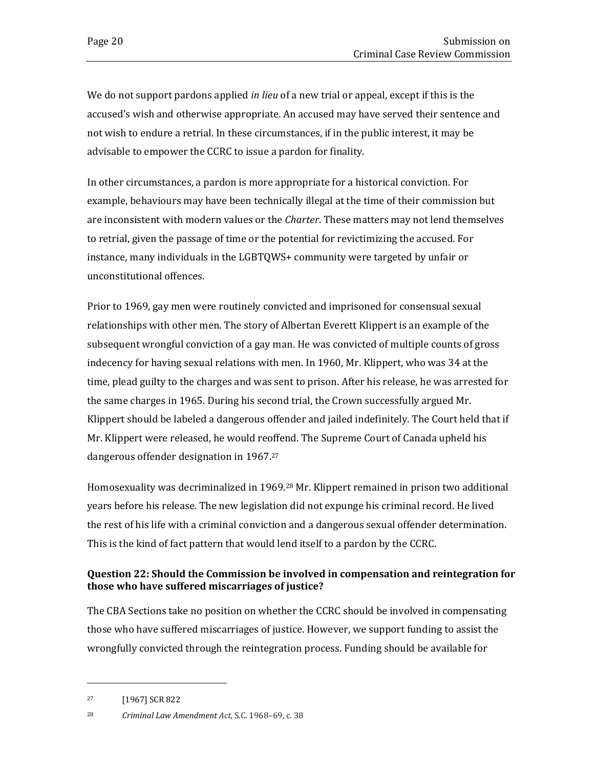We do not support pardons applied *in lieu* of a new trial or appeal, except if this is the accused's wish and otherwise appropriate. An accused may have served their sentence and not wish to endure a retrial. In these circumstances, if in the public interest, it may be advisable to empower the CCRC to issue a pardon for finality.

In other circumstances, a pardon is more appropriate for a historical conviction. For example, behaviours may have been technically illegal at the time of their commission but are inconsistent with modern values or the *Charter*. These matters may not lend themselves to retrial, given the passage of time or the potential for revictimizing the accused. For instance, many individuals in the LGBTQWS+ community were targeted by unfair or unconstitutional offences.

Prior to 1969, gay men were routinely convicted and imprisoned for consensual sexual relationships with other men. The story of Albertan Everett Klippert is an example of the subsequent wrongful conviction of a gay man. He was convicted of multiple counts of gross indecency for having sexual relations with men. In 1960, Mr. Klippert, who was 34 at the time, plead guilty to the charges and was sent to prison. After his release, he was arrested for the same charges in 1965. During his second trial, the Crown successfully argued Mr. Klippert should be labeled a dangerous offender and jailed indefinitely. The Court held that if Mr. Klippert were released, he would reoffend. The Supreme Court of Canada upheld his dangerous offender designation in 1967. 27

Homosexuality was decriminalized in 1969.<sup>28</sup> Mr. Klippert remained in prison two additional years before his release. The new legislation did not expunge his criminal record. He lived the rest of his life with a criminal conviction and a dangerous sexual offender determination. This is the kind of fact pattern that would lend itself to a pardon by the CCRC.

## <span id="page-23-0"></span>**Question 22: Should the Commission be involved in compensation and reintegration for those who have suffered miscarriages of justice?**

The CBA Sections take no position on whether the CCRC should be involved in compensating those who have suffered miscarriages of justice. However, we support funding to assist the wrongfully convicted through the reintegration process. Funding should be available for

<sup>27</sup> [1967] SCR 822

<sup>28</sup> *Criminal Law Amendment Act,* S.C. 1968–69, c. 38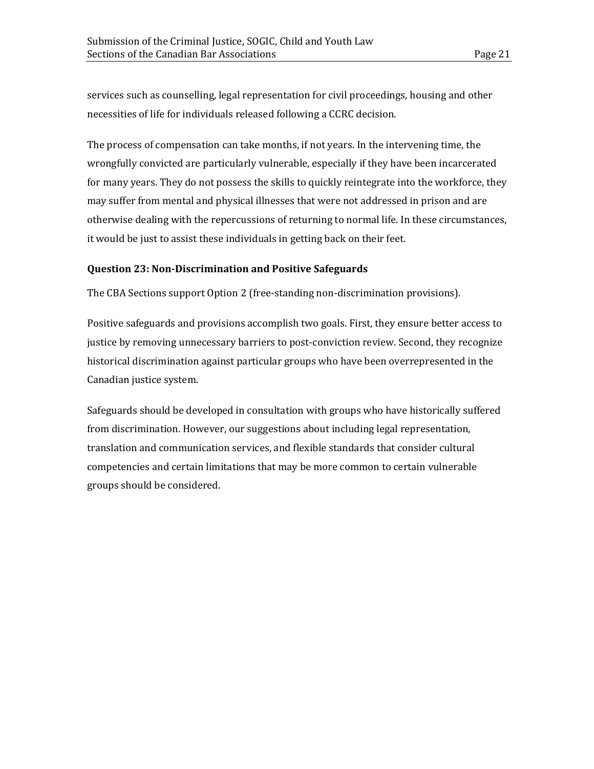services such as counselling, legal representation for civil proceedings, housing and other necessities of life for individuals released following a CCRC decision.

The process of compensation can take months, if not years. In the intervening time, the wrongfully convicted are particularly vulnerable, especially if they have been incarcerated for many years. They do not possess the skills to quickly reintegrate into the workforce, they may suffer from mental and physical illnesses that were not addressed in prison and are otherwise dealing with the repercussions of returning to normal life. In these circumstances, it would be just to assist these individuals in getting back on their feet.

#### <span id="page-24-0"></span>**Question 23: Non-Discrimination and Positive Safeguards**

The CBA Sections support Option 2 (free-standing non-discrimination provisions).

Positive safeguards and provisions accomplish two goals. First, they ensure better access to justice by removing unnecessary barriers to post-conviction review. Second, they recognize historical discrimination against particular groups who have been overrepresented in the Canadian justice system.

Safeguards should be developed in consultation with groups who have historically suffered from discrimination. However, our suggestions about including legal representation, translation and communication services, and flexible standards that consider cultural competencies and certain limitations that may be more common to certain vulnerable groups should be considered.